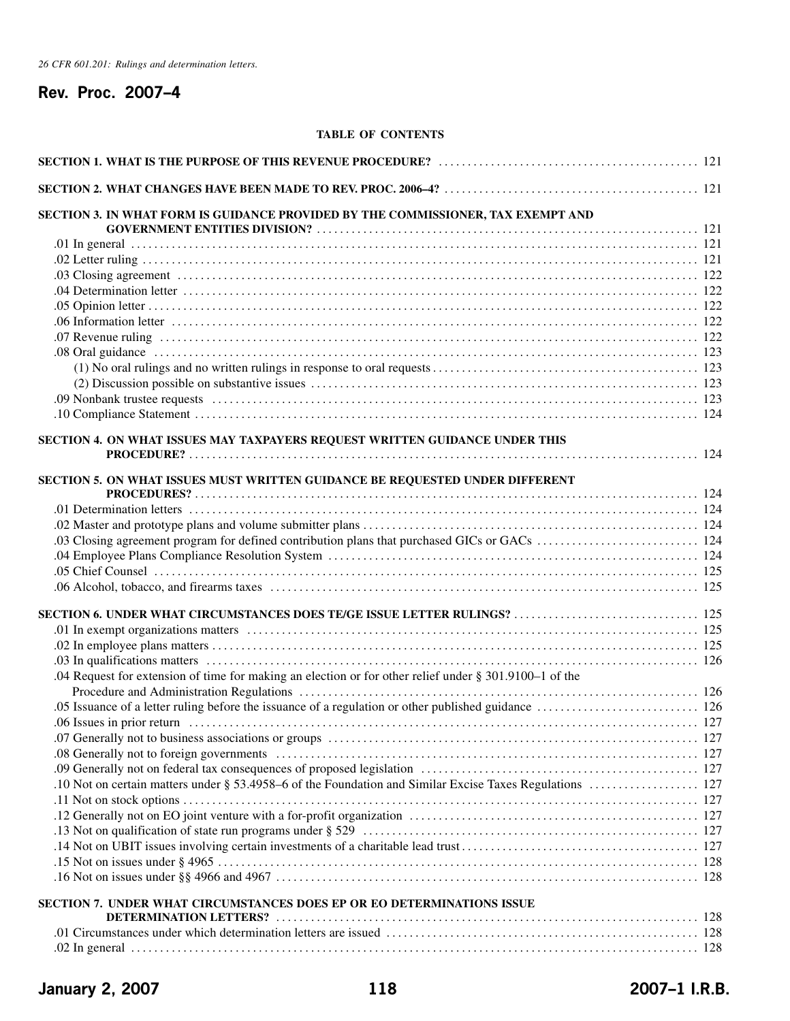# **Rev. Proc. 2007–4**

## **TABLE OF CONTENTS**

| SECTION 3. IN WHAT FORM IS GUIDANCE PROVIDED BY THE COMMISSIONER, TAX EXEMPT AND                       |  |
|--------------------------------------------------------------------------------------------------------|--|
|                                                                                                        |  |
|                                                                                                        |  |
|                                                                                                        |  |
|                                                                                                        |  |
|                                                                                                        |  |
|                                                                                                        |  |
|                                                                                                        |  |
|                                                                                                        |  |
|                                                                                                        |  |
|                                                                                                        |  |
|                                                                                                        |  |
|                                                                                                        |  |
|                                                                                                        |  |
|                                                                                                        |  |
| SECTION 4. ON WHAT ISSUES MAY TAXPAYERS REQUEST WRITTEN GUIDANCE UNDER THIS                            |  |
|                                                                                                        |  |
| SECTION 5. ON WHAT ISSUES MUST WRITTEN GUIDANCE BE REQUESTED UNDER DIFFERENT                           |  |
|                                                                                                        |  |
|                                                                                                        |  |
|                                                                                                        |  |
|                                                                                                        |  |
|                                                                                                        |  |
|                                                                                                        |  |
|                                                                                                        |  |
|                                                                                                        |  |
| SECTION 6. UNDER WHAT CIRCUMSTANCES DOES TE/GE ISSUE LETTER RULINGS?  125                              |  |
|                                                                                                        |  |
|                                                                                                        |  |
|                                                                                                        |  |
| .04 Request for extension of time for making an election or for other relief under § 301.9100–1 of the |  |
|                                                                                                        |  |
|                                                                                                        |  |
|                                                                                                        |  |
|                                                                                                        |  |
|                                                                                                        |  |
|                                                                                                        |  |
|                                                                                                        |  |
|                                                                                                        |  |
|                                                                                                        |  |
|                                                                                                        |  |
|                                                                                                        |  |
|                                                                                                        |  |
|                                                                                                        |  |
|                                                                                                        |  |
| SECTION 7. UNDER WHAT CIRCUMSTANCES DOES EP OR EO DETERMINATIONS ISSUE                                 |  |
|                                                                                                        |  |
|                                                                                                        |  |
|                                                                                                        |  |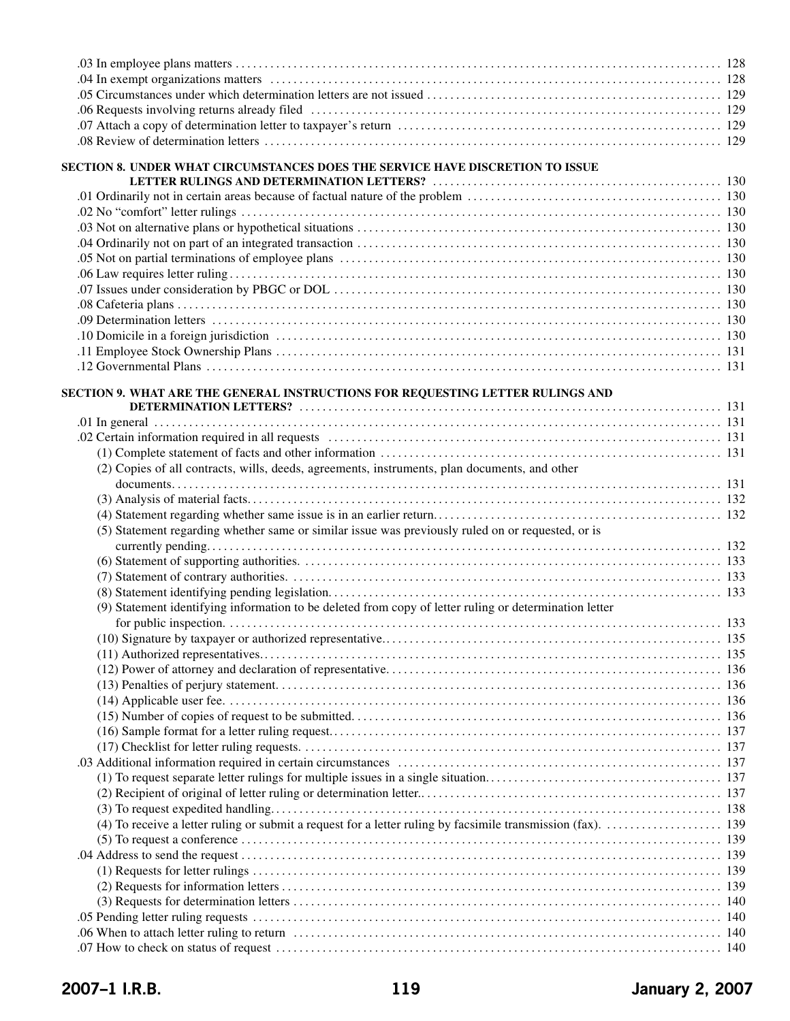| SECTION 8. UNDER WHAT CIRCUMSTANCES DOES THE SERVICE HAVE DISCRETION TO ISSUE                          |  |
|--------------------------------------------------------------------------------------------------------|--|
|                                                                                                        |  |
|                                                                                                        |  |
|                                                                                                        |  |
|                                                                                                        |  |
|                                                                                                        |  |
|                                                                                                        |  |
|                                                                                                        |  |
|                                                                                                        |  |
|                                                                                                        |  |
|                                                                                                        |  |
|                                                                                                        |  |
|                                                                                                        |  |
|                                                                                                        |  |
|                                                                                                        |  |
| SECTION 9. WHAT ARE THE GENERAL INSTRUCTIONS FOR REQUESTING LETTER RULINGS AND                         |  |
|                                                                                                        |  |
|                                                                                                        |  |
|                                                                                                        |  |
|                                                                                                        |  |
| (2) Copies of all contracts, wills, deeds, agreements, instruments, plan documents, and other          |  |
|                                                                                                        |  |
|                                                                                                        |  |
|                                                                                                        |  |
| (5) Statement regarding whether same or similar issue was previously ruled on or requested, or is      |  |
|                                                                                                        |  |
|                                                                                                        |  |
|                                                                                                        |  |
|                                                                                                        |  |
| (9) Statement identifying information to be deleted from copy of letter ruling or determination letter |  |
|                                                                                                        |  |
|                                                                                                        |  |
|                                                                                                        |  |
|                                                                                                        |  |
|                                                                                                        |  |
|                                                                                                        |  |
|                                                                                                        |  |
|                                                                                                        |  |
|                                                                                                        |  |
|                                                                                                        |  |
|                                                                                                        |  |
|                                                                                                        |  |
|                                                                                                        |  |
|                                                                                                        |  |
|                                                                                                        |  |
|                                                                                                        |  |
|                                                                                                        |  |
|                                                                                                        |  |
|                                                                                                        |  |
|                                                                                                        |  |
|                                                                                                        |  |
|                                                                                                        |  |
|                                                                                                        |  |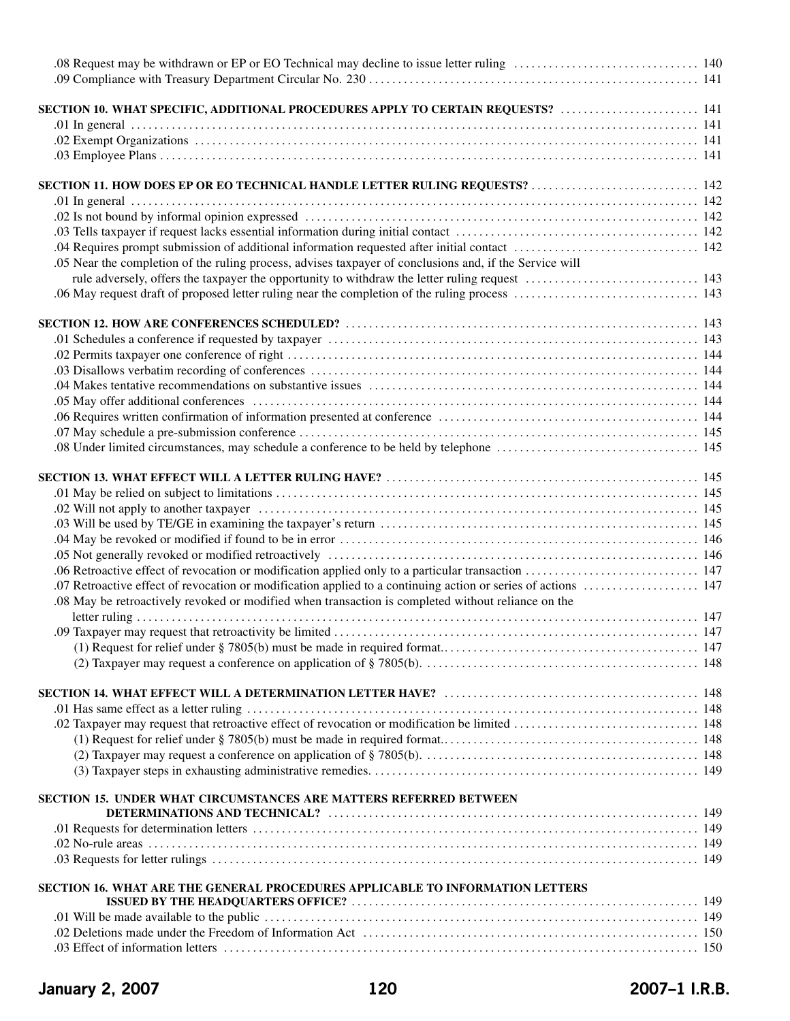| SECTION 10. WHAT SPECIFIC, ADDITIONAL PROCEDURES APPLY TO CERTAIN REQUESTS?  141                        |              |
|---------------------------------------------------------------------------------------------------------|--------------|
|                                                                                                         |              |
|                                                                                                         |              |
|                                                                                                         |              |
|                                                                                                         |              |
| SECTION 11. HOW DOES EP OR EO TECHNICAL HANDLE LETTER RULING REQUESTS?  142                             |              |
|                                                                                                         |              |
|                                                                                                         |              |
|                                                                                                         |              |
|                                                                                                         |              |
| .05 Near the completion of the ruling process, advises taxpayer of conclusions and, if the Service will |              |
|                                                                                                         |              |
|                                                                                                         |              |
|                                                                                                         |              |
|                                                                                                         |              |
|                                                                                                         |              |
|                                                                                                         |              |
|                                                                                                         |              |
|                                                                                                         |              |
|                                                                                                         |              |
|                                                                                                         |              |
|                                                                                                         |              |
|                                                                                                         |              |
|                                                                                                         |              |
|                                                                                                         |              |
|                                                                                                         |              |
|                                                                                                         |              |
|                                                                                                         |              |
|                                                                                                         |              |
|                                                                                                         |              |
| .08 May be retroactively revoked or modified when transaction is completed without reliance on the      |              |
|                                                                                                         |              |
|                                                                                                         | $\ldots$ 147 |
|                                                                                                         |              |
|                                                                                                         |              |
|                                                                                                         |              |
|                                                                                                         |              |
|                                                                                                         |              |
|                                                                                                         |              |
|                                                                                                         |              |
|                                                                                                         |              |
|                                                                                                         |              |
| SECTION 15. UNDER WHAT CIRCUMSTANCES ARE MATTERS REFERRED BETWEEN                                       |              |
|                                                                                                         |              |
|                                                                                                         |              |
|                                                                                                         |              |
|                                                                                                         |              |
| SECTION 16. WHAT ARE THE GENERAL PROCEDURES APPLICABLE TO INFORMATION LETTERS                           |              |
|                                                                                                         |              |
|                                                                                                         |              |
|                                                                                                         |              |
|                                                                                                         |              |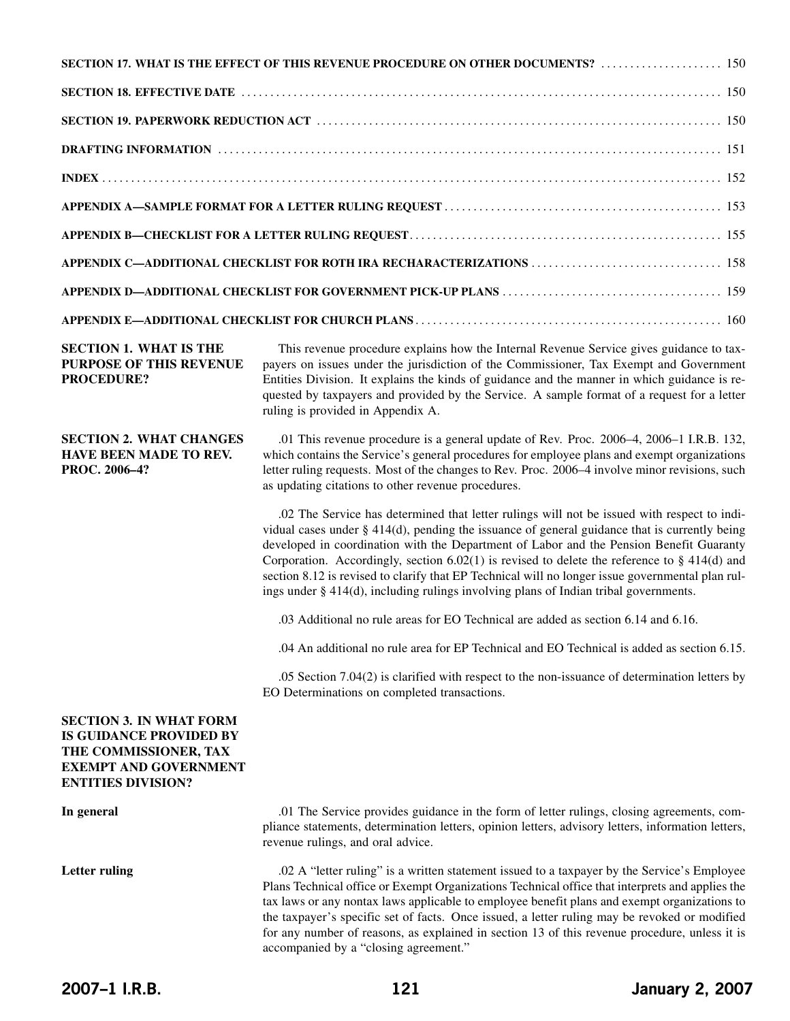|                                                                                                                                                        | SECTION 17. WHAT IS THE EFFECT OF THIS REVENUE PROCEDURE ON OTHER DOCUMENTS?  150                                                                                                                                                                                                                                                                                                                                                                                                                                                                                                         |
|--------------------------------------------------------------------------------------------------------------------------------------------------------|-------------------------------------------------------------------------------------------------------------------------------------------------------------------------------------------------------------------------------------------------------------------------------------------------------------------------------------------------------------------------------------------------------------------------------------------------------------------------------------------------------------------------------------------------------------------------------------------|
|                                                                                                                                                        |                                                                                                                                                                                                                                                                                                                                                                                                                                                                                                                                                                                           |
|                                                                                                                                                        |                                                                                                                                                                                                                                                                                                                                                                                                                                                                                                                                                                                           |
|                                                                                                                                                        |                                                                                                                                                                                                                                                                                                                                                                                                                                                                                                                                                                                           |
|                                                                                                                                                        |                                                                                                                                                                                                                                                                                                                                                                                                                                                                                                                                                                                           |
|                                                                                                                                                        |                                                                                                                                                                                                                                                                                                                                                                                                                                                                                                                                                                                           |
|                                                                                                                                                        |                                                                                                                                                                                                                                                                                                                                                                                                                                                                                                                                                                                           |
|                                                                                                                                                        |                                                                                                                                                                                                                                                                                                                                                                                                                                                                                                                                                                                           |
|                                                                                                                                                        |                                                                                                                                                                                                                                                                                                                                                                                                                                                                                                                                                                                           |
|                                                                                                                                                        |                                                                                                                                                                                                                                                                                                                                                                                                                                                                                                                                                                                           |
| <b>SECTION 1. WHAT IS THE</b><br>PURPOSE OF THIS REVENUE<br><b>PROCEDURE?</b>                                                                          | This revenue procedure explains how the Internal Revenue Service gives guidance to tax-<br>payers on issues under the jurisdiction of the Commissioner, Tax Exempt and Government<br>Entities Division. It explains the kinds of guidance and the manner in which guidance is re-<br>quested by taxpayers and provided by the Service. A sample format of a request for a letter<br>ruling is provided in Appendix A.                                                                                                                                                                     |
| <b>SECTION 2. WHAT CHANGES</b><br><b>HAVE BEEN MADE TO REV.</b><br>PROC. 2006-4?                                                                       | .01 This revenue procedure is a general update of Rev. Proc. 2006–4, 2006–1 I.R.B. 132,<br>which contains the Service's general procedures for employee plans and exempt organizations<br>letter ruling requests. Most of the changes to Rev. Proc. 2006–4 involve minor revisions, such<br>as updating citations to other revenue procedures.                                                                                                                                                                                                                                            |
|                                                                                                                                                        | .02 The Service has determined that letter rulings will not be issued with respect to indi-<br>vidual cases under $\S$ 414(d), pending the issuance of general guidance that is currently being<br>developed in coordination with the Department of Labor and the Pension Benefit Guaranty<br>Corporation. Accordingly, section 6.02(1) is revised to delete the reference to $\S$ 414(d) and<br>section 8.12 is revised to clarify that EP Technical will no longer issue governmental plan rul-<br>ings under § 414(d), including rulings involving plans of Indian tribal governments. |
|                                                                                                                                                        | .03 Additional no rule areas for EO Technical are added as section 6.14 and 6.16.                                                                                                                                                                                                                                                                                                                                                                                                                                                                                                         |
|                                                                                                                                                        | .04 An additional no rule area for EP Technical and EO Technical is added as section 6.15.                                                                                                                                                                                                                                                                                                                                                                                                                                                                                                |
|                                                                                                                                                        | .05 Section 7.04(2) is clarified with respect to the non-issuance of determination letters by<br>EO Determinations on completed transactions.                                                                                                                                                                                                                                                                                                                                                                                                                                             |
| <b>SECTION 3. IN WHAT FORM</b><br><b>IS GUIDANCE PROVIDED BY</b><br>THE COMMISSIONER, TAX<br><b>EXEMPT AND GOVERNMENT</b><br><b>ENTITIES DIVISION?</b> |                                                                                                                                                                                                                                                                                                                                                                                                                                                                                                                                                                                           |

**In general** .01 The Service provides guidance in the form of letter rulings, closing agreements, compliance statements, determination letters, opinion letters, advisory letters, information letters, revenue rulings, and oral advice.

Letter ruling .02 A "letter ruling" is a written statement issued to a taxpayer by the Service's Employee Plans Technical office or Exempt Organizations Technical office that interprets and applies the tax laws or any nontax laws applicable to employee benefit plans and exempt organizations to the taxpayer's specific set of facts. Once issued, a letter ruling may be revoked or modified for any number of reasons, as explained in section 13 of this revenue procedure, unless it is accompanied by a "closing agreement."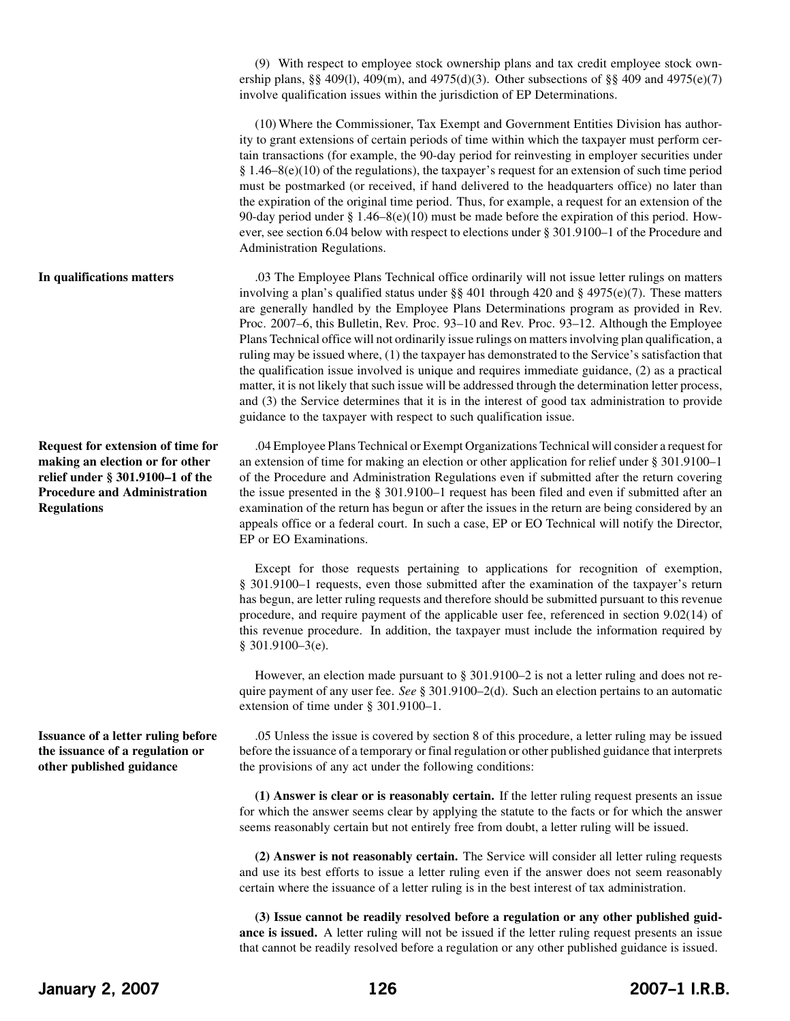(9) With respect to employee stock ownership plans and tax credit employee stock ownership plans, §§ 409(l), 409(m), and 4975(d)(3). Other subsections of §§ 409 and 4975(e)(7) involve qualification issues within the jurisdiction of EP Determinations.

(10) Where the Commissioner, Tax Exempt and Government Entities Division has authority to grant extensions of certain periods of time within which the taxpayer must perform certain transactions (for example, the 90-day period for reinvesting in employer securities under § 1.46–8(e)(10) of the regulations), the taxpayer's request for an extension of such time period must be postmarked (or received, if hand delivered to the headquarters office) no later than the expiration of the original time period. Thus, for example, a request for an extension of the 90-day period under § 1.46–8(e)(10) must be made before the expiration of this period. However, see section 6.04 below with respect to elections under § 301.9100–1 of the Procedure and Administration Regulations.

.03 The Employee Plans Technical office ordinarily will not issue letter rulings on matters involving a plan's qualified status under §§ 401 through 420 and § 4975(e)(7). These matters are generally handled by the Employee Plans Determinations program as provided in Rev. Proc. 2007–6, this Bulletin, Rev. Proc. 93–10 and Rev. Proc. 93–12. Although the Employee Plans Technical office will not ordinarily issue rulings on mattersinvolving plan qualification, a ruling may be issued where, (1) the taxpayer has demonstrated to the Service's satisfaction that the qualification issue involved is unique and requires immediate guidance, (2) as a practical matter, it is not likely that such issue will be addressed through the determination letter process, and (3) the Service determines that it is in the interest of good tax administration to provide guidance to the taxpayer with respect to such qualification issue.

> .04 Employee Plans Technical or Exempt Organizations Technical will consider a request for an extension of time for making an election or other application for relief under § 301.9100–1 of the Procedure and Administration Regulations even if submitted after the return covering the issue presented in the § 301.9100–1 request has been filed and even if submitted after an examination of the return has begun or after the issues in the return are being considered by an appeals office or a federal court. In such a case, EP or EO Technical will notify the Director, EP or EO Examinations.

> Except for those requests pertaining to applications for recognition of exemption, § 301.9100–1 requests, even those submitted after the examination of the taxpayer's return has begun, are letter ruling requests and therefore should be submitted pursuant to this revenue procedure, and require payment of the applicable user fee, referenced in section 9.02(14) of this revenue procedure. In addition, the taxpayer must include the information required by § 301.9100–3(e).

> However, an election made pursuant to § 301.9100–2 is not a letter ruling and does not require payment of any user fee. *See* § 301.9100–2(d). Such an election pertains to an automatic extension of time under § 301.9100–1.

> .05 Unless the issue is covered by section 8 of this procedure, a letter ruling may be issued before the issuance of a temporary or final regulation or other published guidance that interprets the provisions of any act under the following conditions:

> **(1) Answer is clear or is reasonably certain.** If the letter ruling request presents an issue for which the answer seems clear by applying the statute to the facts or for which the answer seems reasonably certain but not entirely free from doubt, a letter ruling will be issued.

> **(2) Answer is not reasonably certain.** The Service will consider all letter ruling requests and use its best efforts to issue a letter ruling even if the answer does not seem reasonably certain where the issuance of a letter ruling is in the best interest of tax administration.

> **(3) Issue cannot be readily resolved before a regulation or any other published guidance is issued.** A letter ruling will not be issued if the letter ruling request presents an issue that cannot be readily resolved before a regulation or any other published guidance is issued.

**In qualifications matters**

**Request for extension of time for making an election or for other relief under § 301.9100–1 of the Procedure and Administration Regulations**

**Issuance of a letter ruling before the issuance of a regulation or other published guidance**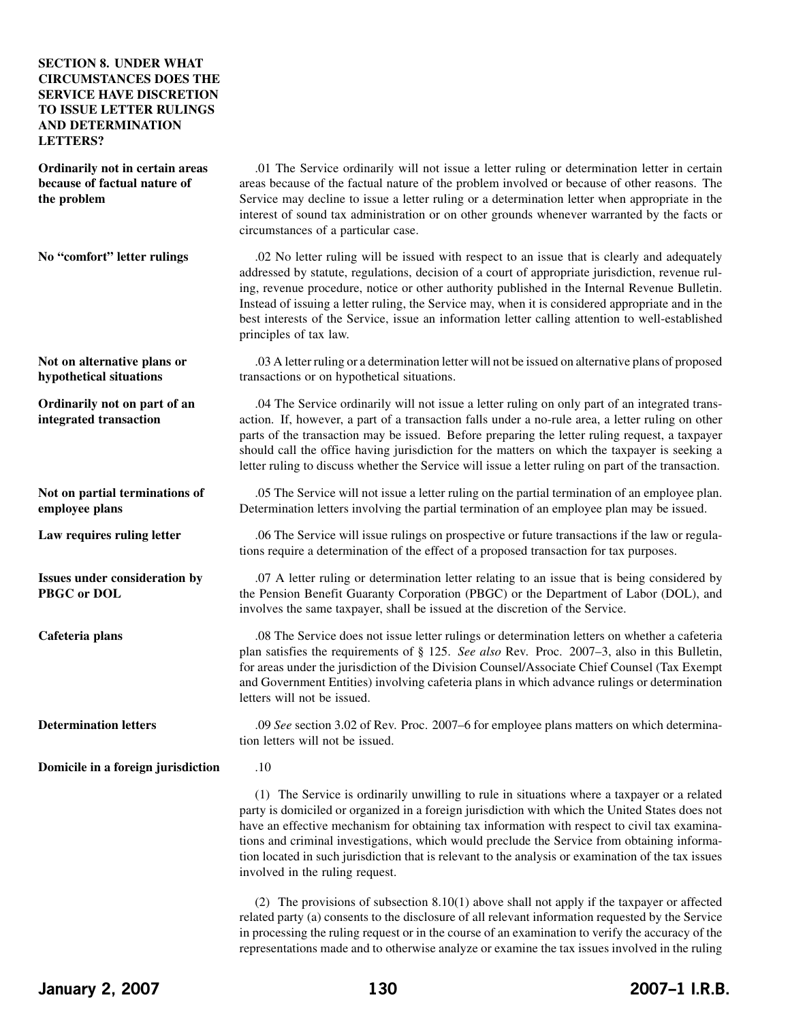## **SECTION 8. UNDER WHAT CIRCUMSTANCES DOES THE SERVICE HAVE DISCRETION TO ISSUE LETTER RULINGS AND DETERMINATION LETTERS?**

**Ordinarily not in certain areas because of factual nature of the problem**

**No "comfort" letter rulings**

**Not on alternative plans or hypothetical situations**

**Ordinarily not on part of an integrated transaction**

**Not on partial terminations of employee plans**

**Law requires ruling letter**

**Issues under consideration by PBGC or DOL**

**Cafeteria plans**

**Determination letters**

.01 The Service ordinarily will not issue a letter ruling or determination letter in certain areas because of the factual nature of the problem involved or because of other reasons. The Service may decline to issue a letter ruling or a determination letter when appropriate in the interest of sound tax administration or on other grounds whenever warranted by the facts or circumstances of a particular case.

.02 No letter ruling will be issued with respect to an issue that is clearly and adequately addressed by statute, regulations, decision of a court of appropriate jurisdiction, revenue ruling, revenue procedure, notice or other authority published in the Internal Revenue Bulletin. Instead of issuing a letter ruling, the Service may, when it is considered appropriate and in the best interests of the Service, issue an information letter calling attention to well-established principles of tax law.

.03 A letter ruling or a determination letter will not be issued on alternative plans of proposed transactions or on hypothetical situations.

.04 The Service ordinarily will not issue a letter ruling on only part of an integrated transaction. If, however, a part of a transaction falls under a no-rule area, a letter ruling on other parts of the transaction may be issued. Before preparing the letter ruling request, a taxpayer should call the office having jurisdiction for the matters on which the taxpayer is seeking a letter ruling to discuss whether the Service will issue a letter ruling on part of the transaction.

.05 The Service will not issue a letter ruling on the partial termination of an employee plan. Determination letters involving the partial termination of an employee plan may be issued.

.06 The Service will issue rulings on prospective or future transactions if the law or regulations require a determination of the effect of a proposed transaction for tax purposes.

.07 A letter ruling or determination letter relating to an issue that is being considered by the Pension Benefit Guaranty Corporation (PBGC) or the Department of Labor (DOL), and involves the same taxpayer, shall be issued at the discretion of the Service.

.08 The Service does not issue letter rulings or determination letters on whether a cafeteria plan satisfies the requirements of § 125. *See also* Rev. Proc. 2007–3, also in this Bulletin, for areas under the jurisdiction of the Division Counsel/Associate Chief Counsel (Tax Exempt and Government Entities) involving cafeteria plans in which advance rulings or determination letters will not be issued.

.09 *See* section 3.02 of Rev. Proc. 2007–6 for employee plans matters on which determination letters will not be issued.

**Domicile in a foreign jurisdiction**

.10

(1) The Service is ordinarily unwilling to rule in situations where a taxpayer or a related party is domiciled or organized in a foreign jurisdiction with which the United States does not have an effective mechanism for obtaining tax information with respect to civil tax examinations and criminal investigations, which would preclude the Service from obtaining information located in such jurisdiction that is relevant to the analysis or examination of the tax issues involved in the ruling request.

(2) The provisions of subsection 8.10(1) above shall not apply if the taxpayer or affected related party (a) consents to the disclosure of all relevant information requested by the Service in processing the ruling request or in the course of an examination to verify the accuracy of the representations made and to otherwise analyze or examine the tax issues involved in the ruling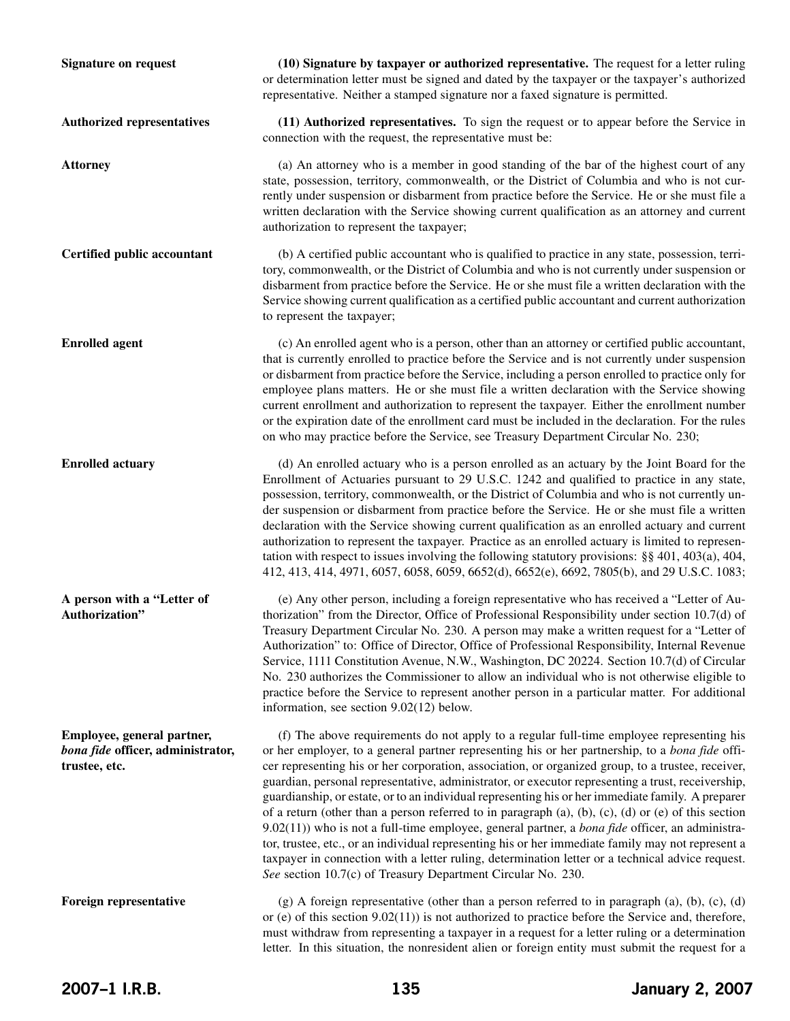**Signature on request Authorized representatives Attorney Certified public accountant Enrolled agent Enrolled actuary A person with a "Letter of Authorization" Employee, general partner,** *bona fide* **officer, administrator, trustee, etc. Foreign representative (10) Signature by taxpayer or authorized representative.** The request for a letter ruling or determination letter must be signed and dated by the taxpayer or the taxpayer's authorized representative. Neither a stamped signature nor a faxed signature is permitted. **(11) Authorized representatives.** To sign the request or to appear before the Service in connection with the request, the representative must be: (a) An attorney who is a member in good standing of the bar of the highest court of any state, possession, territory, commonwealth, or the District of Columbia and who is not currently under suspension or disbarment from practice before the Service. He or she must file a written declaration with the Service showing current qualification as an attorney and current authorization to represent the taxpayer; (b) A certified public accountant who is qualified to practice in any state, possession, territory, commonwealth, or the District of Columbia and who is not currently under suspension or disbarment from practice before the Service. He or she must file a written declaration with the Service showing current qualification as a certified public accountant and current authorization to represent the taxpayer; (c) An enrolled agent who is a person, other than an attorney or certified public accountant, that is currently enrolled to practice before the Service and is not currently under suspension or disbarment from practice before the Service, including a person enrolled to practice only for employee plans matters. He or she must file a written declaration with the Service showing current enrollment and authorization to represent the taxpayer. Either the enrollment number or the expiration date of the enrollment card must be included in the declaration. For the rules on who may practice before the Service, see Treasury Department Circular No. 230; (d) An enrolled actuary who is a person enrolled as an actuary by the Joint Board for the Enrollment of Actuaries pursuant to 29 U.S.C. 1242 and qualified to practice in any state, possession, territory, commonwealth, or the District of Columbia and who is not currently under suspension or disbarment from practice before the Service. He or she must file a written declaration with the Service showing current qualification as an enrolled actuary and current authorization to represent the taxpayer. Practice as an enrolled actuary is limited to representation with respect to issues involving the following statutory provisions: §§ 401, 403(a), 404, 412, 413, 414, 4971, 6057, 6058, 6059, 6652(d), 6652(e), 6692, 7805(b), and 29 U.S.C. 1083; (e) Any other person, including a foreign representative who has received a "Letter of Authorization" from the Director, Office of Professional Responsibility under section 10.7(d) of Treasury Department Circular No. 230. A person may make a written request for a "Letter of Authorization" to: Office of Director, Office of Professional Responsibility, Internal Revenue Service, 1111 Constitution Avenue, N.W., Washington, DC 20224. Section 10.7(d) of Circular No. 230 authorizes the Commissioner to allow an individual who is not otherwise eligible to practice before the Service to represent another person in a particular matter. For additional information, see section 9.02(12) below. (f) The above requirements do not apply to a regular full-time employee representing his or her employer, to a general partner representing his or her partnership, to a *bona fide* officer representing his or her corporation, association, or organized group, to a trustee, receiver, guardian, personal representative, administrator, or executor representing a trust, receivership, guardianship, or estate, or to an individual representing his or her immediate family. A preparer of a return (other than a person referred to in paragraph  $(a)$ ,  $(b)$ ,  $(c)$ ,  $(d)$  or  $(e)$  of this section 9.02(11)) who is not a full-time employee, general partner, a *bona fide* officer, an administrator, trustee, etc., or an individual representing his or her immediate family may not represent a taxpayer in connection with a letter ruling, determination letter or a technical advice request. *See* section 10.7(c) of Treasury Department Circular No. 230.  $(g)$  A foreign representative (other than a person referred to in paragraph (a), (b), (c), (d) or (e) of this section  $9.02(11)$ ) is not authorized to practice before the Service and, therefore, must withdraw from representing a taxpayer in a request for a letter ruling or a determination letter. In this situation, the nonresident alien or foreign entity must submit the request for a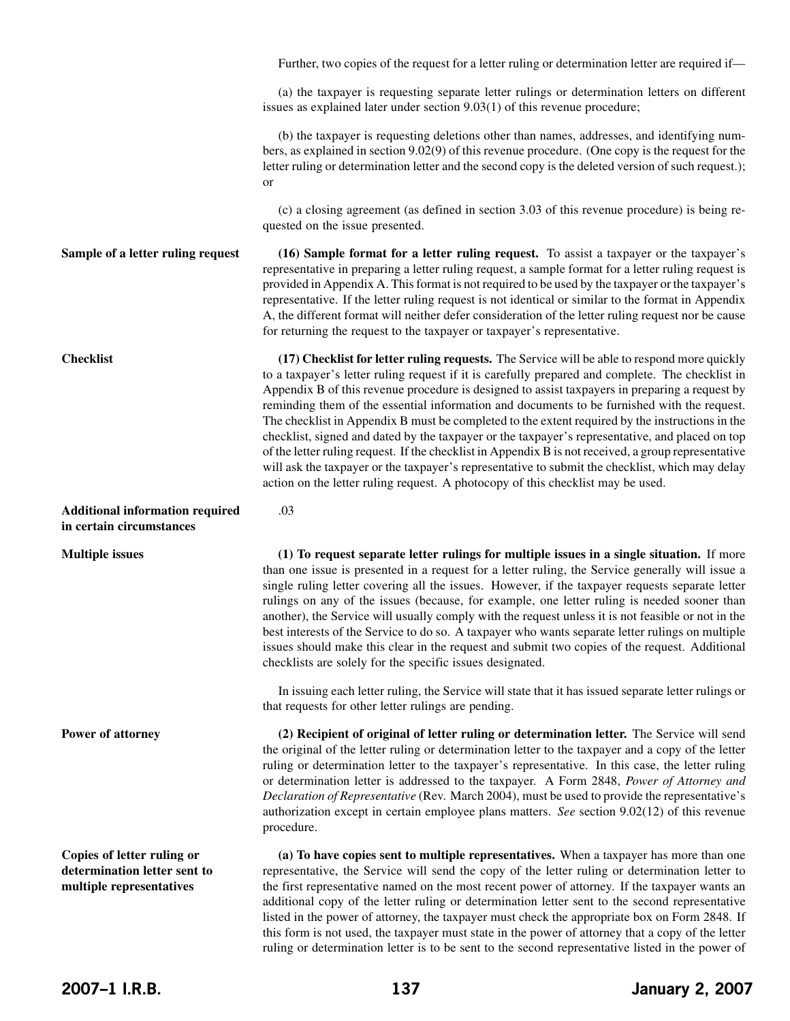**Sample of a letter ruling request Checklist Additional information required in certain circumstances Multiple issues Power of attorney Copies of letter ruling or determination letter sent to multiple representatives** Further, two copies of the request for a letter ruling or determination letter are required if— (a) the taxpayer is requesting separate letter rulings or determination letters on different issues as explained later under section 9.03(1) of this revenue procedure; (b) the taxpayer is requesting deletions other than names, addresses, and identifying numbers, as explained in section 9.02(9) of this revenue procedure. (One copy is the request for the letter ruling or determination letter and the second copy is the deleted version of such request.); or (c) a closing agreement (as defined in section 3.03 of this revenue procedure) is being requested on the issue presented. **(16) Sample format for a letter ruling request.** To assist a taxpayer or the taxpayer's representative in preparing a letter ruling request, a sample format for a letter ruling request is provided in Appendix A. This format is not required to be used by the taxpayer or the taxpayer's representative. If the letter ruling request is not identical or similar to the format in Appendix A, the different format will neither defer consideration of the letter ruling request nor be cause for returning the request to the taxpayer or taxpayer's representative. **(17) Checklist for letter ruling requests.** The Service will be able to respond more quickly to a taxpayer's letter ruling request if it is carefully prepared and complete. The checklist in Appendix B of this revenue procedure is designed to assist taxpayers in preparing a request by reminding them of the essential information and documents to be furnished with the request. The checklist in Appendix B must be completed to the extent required by the instructions in the checklist, signed and dated by the taxpayer or the taxpayer's representative, and placed on top of the letter ruling request. If the checklist in Appendix B is not received, a group representative will ask the taxpayer or the taxpayer's representative to submit the checklist, which may delay action on the letter ruling request. A photocopy of this checklist may be used. .03 **(1) To request separate letter rulings for multiple issues in a single situation.** If more than one issue is presented in a request for a letter ruling, the Service generally will issue a single ruling letter covering all the issues. However, if the taxpayer requests separate letter rulings on any of the issues (because, for example, one letter ruling is needed sooner than another), the Service will usually comply with the request unless it is not feasible or not in the best interests of the Service to do so. A taxpayer who wants separate letter rulings on multiple issues should make this clear in the request and submit two copies of the request. Additional checklists are solely for the specific issues designated. In issuing each letter ruling, the Service will state that it has issued separate letter rulings or that requests for other letter rulings are pending. **(2) Recipient of original of letter ruling or determination letter.** The Service will send the original of the letter ruling or determination letter to the taxpayer and a copy of the letter ruling or determination letter to the taxpayer's representative. In this case, the letter ruling or determination letter is addressed to the taxpayer. A Form 2848, *Power of Attorney and Declaration of Representative* (Rev. March 2004), must be used to provide the representative's authorization except in certain employee plans matters. *See* section 9.02(12) of this revenue procedure. **(a) To have copies sent to multiple representatives.** When a taxpayer has more than one representative, the Service will send the copy of the letter ruling or determination letter to the first representative named on the most recent power of attorney. If the taxpayer wants an additional copy of the letter ruling or determination letter sent to the second representative listed in the power of attorney, the taxpayer must check the appropriate box on Form 2848. If this form is not used, the taxpayer must state in the power of attorney that a copy of the letter

ruling or determination letter is to be sent to the second representative listed in the power of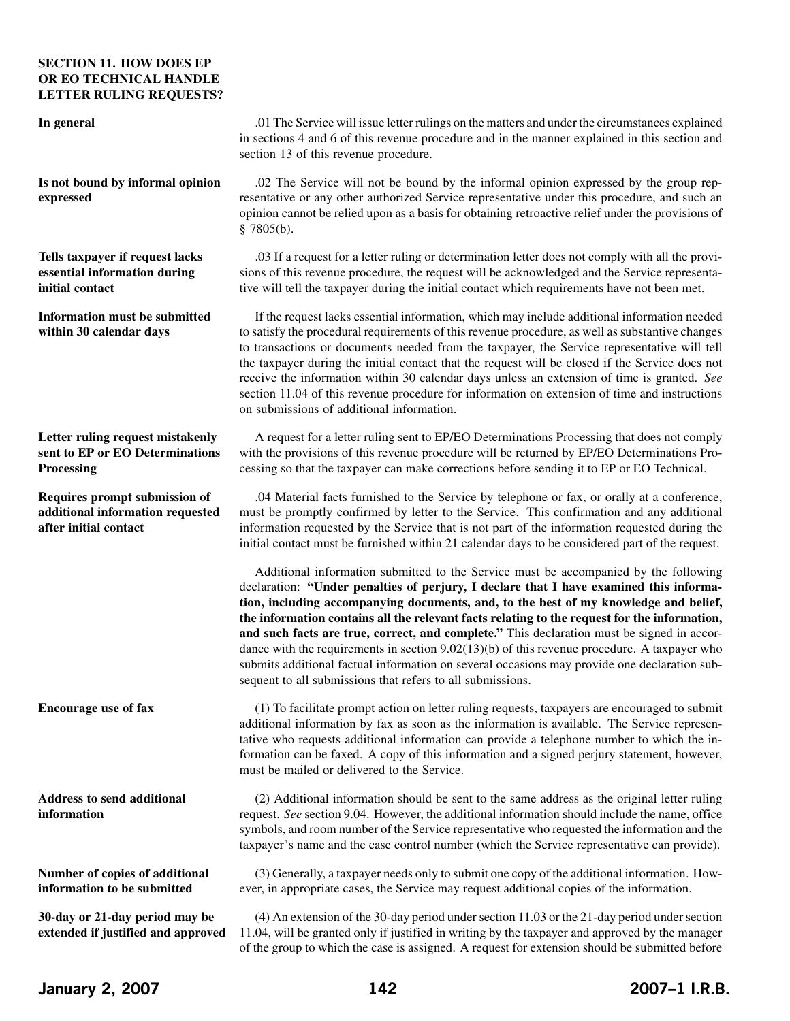### **SECTION 11. HOW DOES EP OR EO TECHNICAL HANDLE LETTER RULING REQUESTS?**

#### **In general**

**Is not bound by informal opinion expressed**

**Tells taxpayer if request lacks essential information during initial contact**

**Information must be submitted within 30 calendar days**

**Letter ruling request mistakenly sent to EP or EO Determinations Processing**

**Requires prompt submission of additional information requested after initial contact**

**Encourage use of fax**

**Address to send additional information**

**Number of copies of additional information to be submitted**

**30-day or 21-day period may be extended if justified and approved**

.01 The Service will issue letter rulings on the matters and under the circumstances explained in sections 4 and 6 of this revenue procedure and in the manner explained in this section and section 13 of this revenue procedure.

.02 The Service will not be bound by the informal opinion expressed by the group representative or any other authorized Service representative under this procedure, and such an opinion cannot be relied upon as a basis for obtaining retroactive relief under the provisions of § 7805(b).

.03 If a request for a letter ruling or determination letter does not comply with all the provisions of this revenue procedure, the request will be acknowledged and the Service representative will tell the taxpayer during the initial contact which requirements have not been met.

If the request lacks essential information, which may include additional information needed to satisfy the procedural requirements of this revenue procedure, as well as substantive changes to transactions or documents needed from the taxpayer, the Service representative will tell the taxpayer during the initial contact that the request will be closed if the Service does not receive the information within 30 calendar days unless an extension of time is granted. *See* section 11.04 of this revenue procedure for information on extension of time and instructions on submissions of additional information.

A request for a letter ruling sent to EP/EO Determinations Processing that does not comply with the provisions of this revenue procedure will be returned by EP/EO Determinations Processing so that the taxpayer can make corrections before sending it to EP or EO Technical.

.04 Material facts furnished to the Service by telephone or fax, or orally at a conference, must be promptly confirmed by letter to the Service. This confirmation and any additional information requested by the Service that is not part of the information requested during the initial contact must be furnished within 21 calendar days to be considered part of the request.

Additional information submitted to the Service must be accompanied by the following declaration: **"Under penalties of perjury, I declare that I have examined this information, including accompanying documents, and, to the best of my knowledge and belief, the information contains all the relevant facts relating to the request for the information, and such facts are true, correct, and complete."** This declaration must be signed in accordance with the requirements in section 9.02(13)(b) of this revenue procedure. A taxpayer who submits additional factual information on several occasions may provide one declaration subsequent to all submissions that refers to all submissions.

(1) To facilitate prompt action on letter ruling requests, taxpayers are encouraged to submit additional information by fax as soon as the information is available. The Service representative who requests additional information can provide a telephone number to which the information can be faxed. A copy of this information and a signed perjury statement, however, must be mailed or delivered to the Service.

(2) Additional information should be sent to the same address as the original letter ruling request. *See* section 9.04. However, the additional information should include the name, office symbols, and room number of the Service representative who requested the information and the taxpayer's name and the case control number (which the Service representative can provide).

(3) Generally, a taxpayer needs only to submit one copy of the additional information. However, in appropriate cases, the Service may request additional copies of the information.

(4) An extension of the 30-day period undersection 11.03 or the 21-day period undersection 11.04, will be granted only if justified in writing by the taxpayer and approved by the manager of the group to which the case is assigned. A request for extension should be submitted before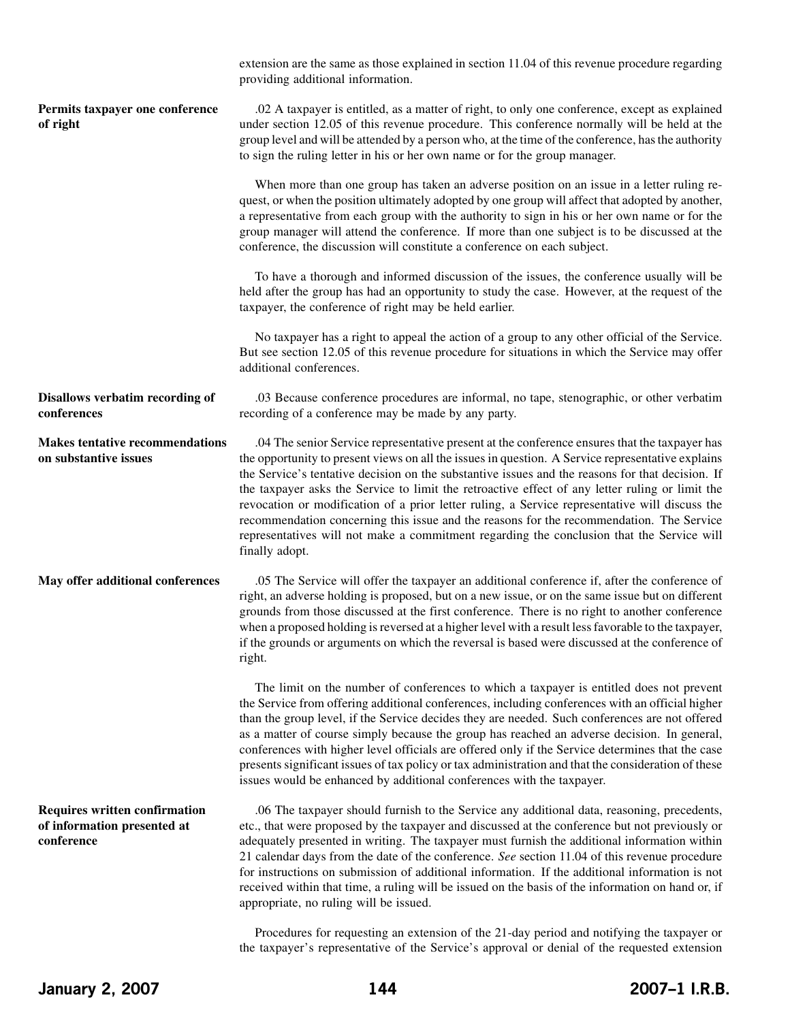|                                                                                   | extension are the same as those explained in section 11.04 of this revenue procedure regarding<br>providing additional information.                                                                                                                                                                                                                                                                                                                                                                                                                                                                                                                                                                                    |
|-----------------------------------------------------------------------------------|------------------------------------------------------------------------------------------------------------------------------------------------------------------------------------------------------------------------------------------------------------------------------------------------------------------------------------------------------------------------------------------------------------------------------------------------------------------------------------------------------------------------------------------------------------------------------------------------------------------------------------------------------------------------------------------------------------------------|
| Permits taxpayer one conference<br>of right                                       | .02 A taxpayer is entitled, as a matter of right, to only one conference, except as explained<br>under section 12.05 of this revenue procedure. This conference normally will be held at the<br>group level and will be attended by a person who, at the time of the conference, has the authority<br>to sign the ruling letter in his or her own name or for the group manager.                                                                                                                                                                                                                                                                                                                                       |
|                                                                                   | When more than one group has taken an adverse position on an issue in a letter ruling re-<br>quest, or when the position ultimately adopted by one group will affect that adopted by another,<br>a representative from each group with the authority to sign in his or her own name or for the<br>group manager will attend the conference. If more than one subject is to be discussed at the<br>conference, the discussion will constitute a conference on each subject.                                                                                                                                                                                                                                             |
|                                                                                   | To have a thorough and informed discussion of the issues, the conference usually will be<br>held after the group has had an opportunity to study the case. However, at the request of the<br>taxpayer, the conference of right may be held earlier.                                                                                                                                                                                                                                                                                                                                                                                                                                                                    |
|                                                                                   | No taxpayer has a right to appeal the action of a group to any other official of the Service.<br>But see section 12.05 of this revenue procedure for situations in which the Service may offer<br>additional conferences.                                                                                                                                                                                                                                                                                                                                                                                                                                                                                              |
| <b>Disallows verbatim recording of</b><br>conferences                             | .03 Because conference procedures are informal, no tape, stenographic, or other verbatim<br>recording of a conference may be made by any party.                                                                                                                                                                                                                                                                                                                                                                                                                                                                                                                                                                        |
| <b>Makes tentative recommendations</b><br>on substantive issues                   | .04 The senior Service representative present at the conference ensures that the taxpayer has<br>the opportunity to present views on all the issues in question. A Service representative explains<br>the Service's tentative decision on the substantive issues and the reasons for that decision. If<br>the taxpayer asks the Service to limit the retroactive effect of any letter ruling or limit the<br>revocation or modification of a prior letter ruling, a Service representative will discuss the<br>recommendation concerning this issue and the reasons for the recommendation. The Service<br>representatives will not make a commitment regarding the conclusion that the Service will<br>finally adopt. |
| May offer additional conferences                                                  | .05 The Service will offer the taxpayer an additional conference if, after the conference of<br>right, an adverse holding is proposed, but on a new issue, or on the same issue but on different<br>grounds from those discussed at the first conference. There is no right to another conference<br>when a proposed holding is reversed at a higher level with a result less favorable to the taxpayer,<br>if the grounds or arguments on which the reversal is based were discussed at the conference of<br>right.                                                                                                                                                                                                   |
|                                                                                   | The limit on the number of conferences to which a taxpayer is entitled does not prevent<br>the Service from offering additional conferences, including conferences with an official higher<br>than the group level, if the Service decides they are needed. Such conferences are not offered<br>as a matter of course simply because the group has reached an adverse decision. In general,<br>conferences with higher level officials are offered only if the Service determines that the case<br>presents significant issues of tax policy or tax administration and that the consideration of these<br>issues would be enhanced by additional conferences with the taxpayer.                                        |
| <b>Requires written confirmation</b><br>of information presented at<br>conference | .06 The taxpayer should furnish to the Service any additional data, reasoning, precedents,<br>etc., that were proposed by the taxpayer and discussed at the conference but not previously or<br>adequately presented in writing. The taxpayer must furnish the additional information within<br>21 calendar days from the date of the conference. See section 11.04 of this revenue procedure<br>for instructions on submission of additional information. If the additional information is not<br>received within that time, a ruling will be issued on the basis of the information on hand or, if<br>appropriate, no ruling will be issued.                                                                         |

Procedures for requesting an extension of the 21-day period and notifying the taxpayer or the taxpayer's representative of the Service's approval or denial of the requested extension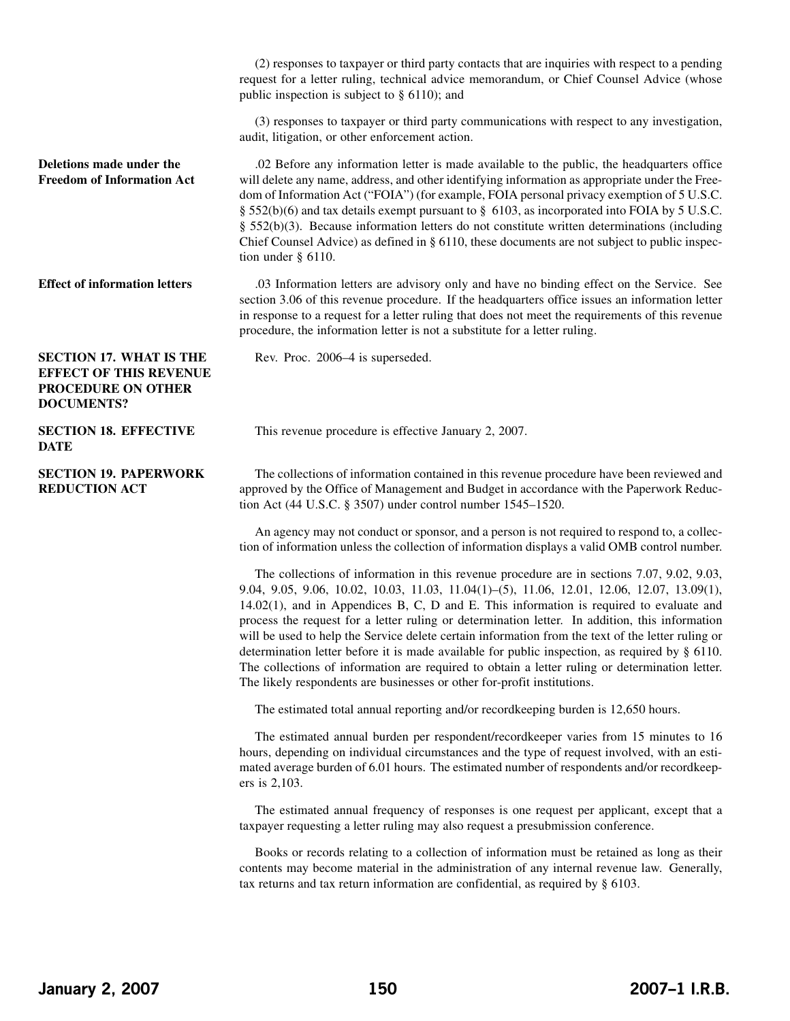(2) responses to taxpayer or third party contacts that are inquiries with respect to a pending request for a letter ruling, technical advice memorandum, or Chief Counsel Advice (whose public inspection is subject to § 6110); and

(3) responses to taxpayer or third party communications with respect to any investigation, audit, litigation, or other enforcement action.

**Deletions made under the Freedom of Information Act** .02 Before any information letter is made available to the public, the headquarters office will delete any name, address, and other identifying information as appropriate under the Freedom of Information Act ("FOIA") (for example, FOIA personal privacy exemption of 5 U.S.C. § 552(b)(6) and tax details exempt pursuant to § 6103, as incorporated into FOIA by 5 U.S.C. § 552(b)(3). Because information letters do not constitute written determinations (including Chief Counsel Advice) as defined in  $\S$  6110, these documents are not subject to public inspection under § 6110.

**Effect of information letters** .03 Information letters are advisory only and have no binding effect on the Service. See section 3.06 of this revenue procedure. If the headquarters office issues an information letter in response to a request for a letter ruling that does not meet the requirements of this revenue procedure, the information letter is not a substitute for a letter ruling.

Rev. Proc. 2006–4 is superseded.

## **SECTION 17. WHAT IS THE EFFECT OF THIS REVENUE PROCEDURE ON OTHER DOCUMENTS?**

**SECTION 18. EFFECTIVE DATE**

**SECTION 19. PAPERWORK REDUCTION ACT**

This revenue procedure is effective January 2, 2007.

The collections of information contained in this revenue procedure have been reviewed and approved by the Office of Management and Budget in accordance with the Paperwork Reduction Act (44 U.S.C. § 3507) under control number 1545–1520.

An agency may not conduct or sponsor, and a person is not required to respond to, a collection of information unless the collection of information displays a valid OMB control number.

The collections of information in this revenue procedure are in sections 7.07, 9.02, 9.03, 9.04, 9.05, 9.06, 10.02, 10.03, 11.03, 11.04(1)–(5), 11.06, 12.01, 12.06, 12.07, 13.09(1), 14.02(1), and in Appendices B, C, D and E. This information is required to evaluate and process the request for a letter ruling or determination letter. In addition, this information will be used to help the Service delete certain information from the text of the letter ruling or determination letter before it is made available for public inspection, as required by § 6110. The collections of information are required to obtain a letter ruling or determination letter. The likely respondents are businesses or other for-profit institutions.

The estimated total annual reporting and/or recordkeeping burden is 12,650 hours.

The estimated annual burden per respondent/recordkeeper varies from 15 minutes to 16 hours, depending on individual circumstances and the type of request involved, with an estimated average burden of 6.01 hours. The estimated number of respondents and/or recordkeepers is 2,103.

The estimated annual frequency of responses is one request per applicant, except that a taxpayer requesting a letter ruling may also request a presubmission conference.

Books or records relating to a collection of information must be retained as long as their contents may become material in the administration of any internal revenue law. Generally, tax returns and tax return information are confidential, as required by § 6103.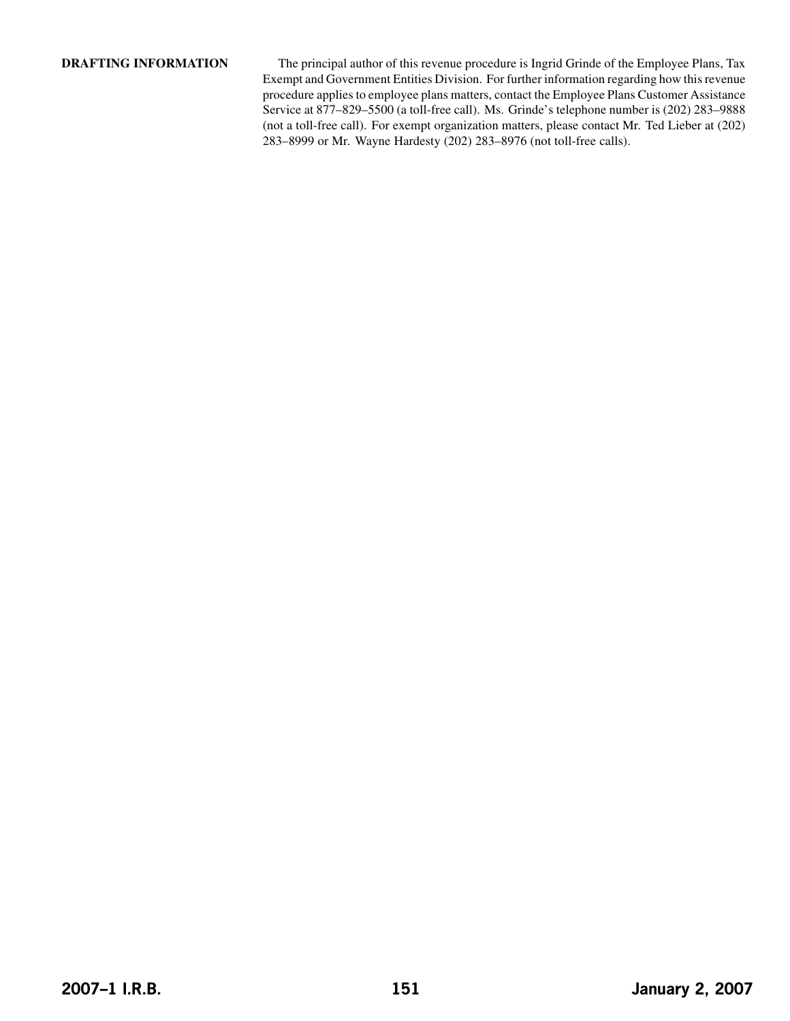**DRAFTING INFORMATION** The principal author of this revenue procedure is Ingrid Grinde of the Employee Plans, Tax Exempt and Government Entities Division. For further information regarding how this revenue procedure applies to employee plans matters, contact the Employee Plans Customer Assistance Service at 877–829–5500 (a toll-free call). Ms. Grinde's telephone number is (202) 283–9888 (not a toll-free call). For exempt organization matters, please contact Mr. Ted Lieber at (202) 283–8999 or Mr. Wayne Hardesty (202) 283–8976 (not toll-free calls).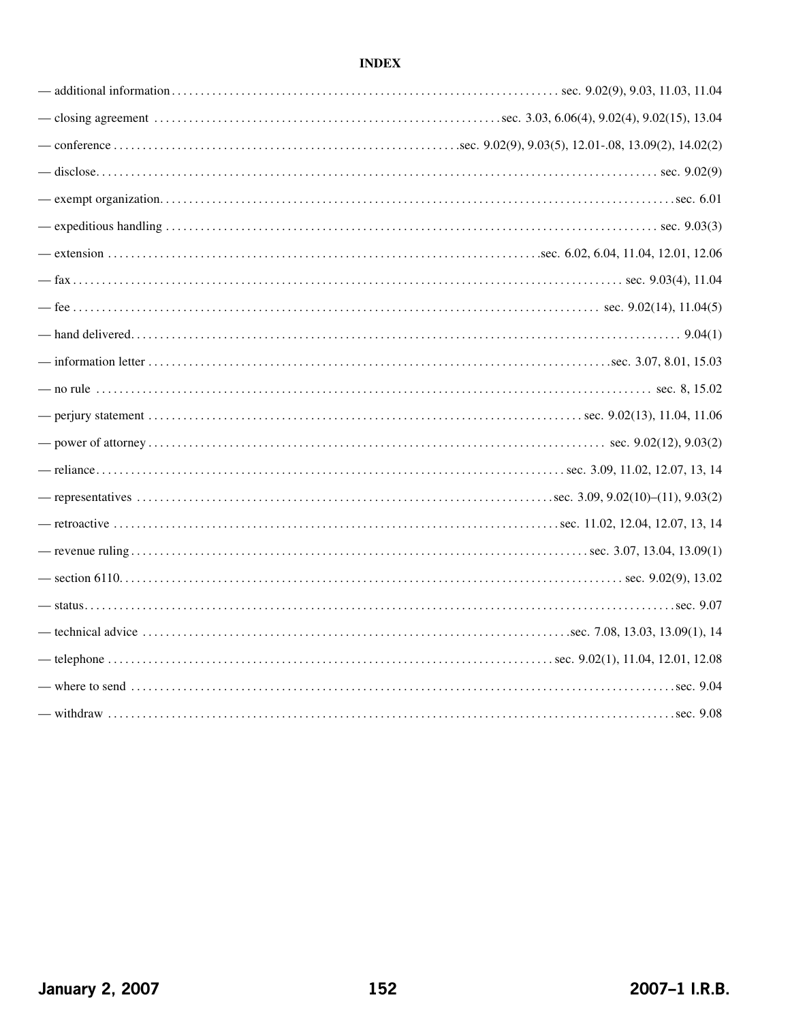# **INDEX**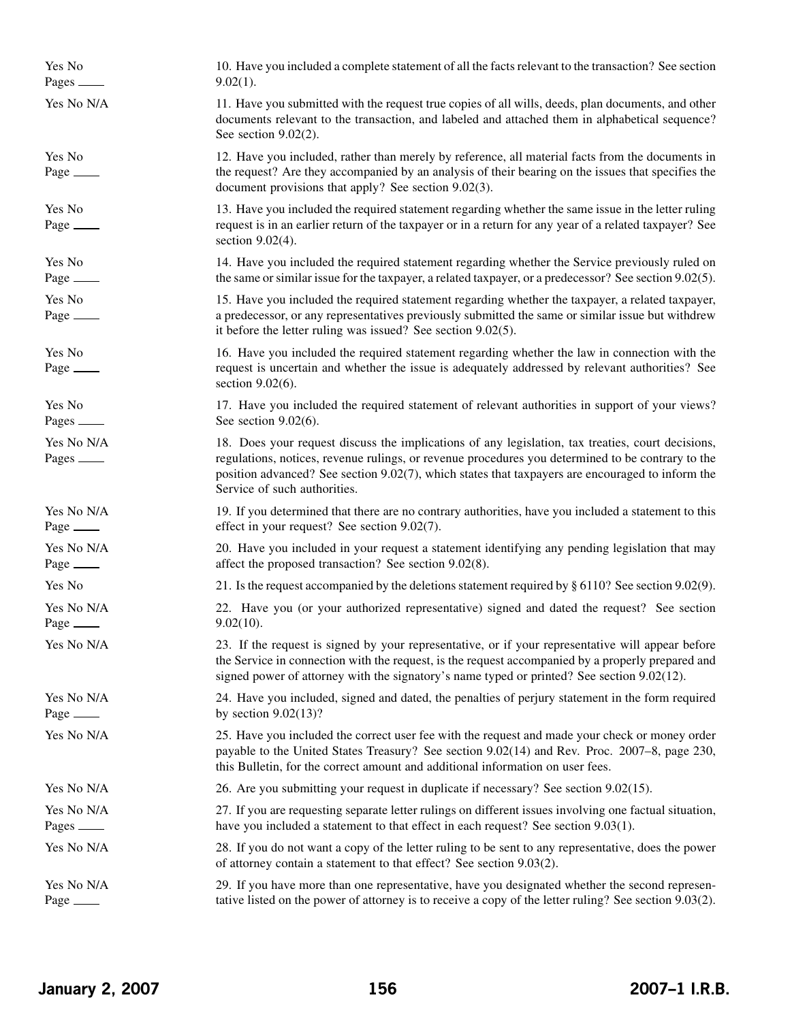Yes No 10. Have you included a complete statement of all the factsrelevant to the transaction? See section Pages  $9.02(1)$ . Yes No N/A 11. Have you submitted with the request true copies of all wills, deeds, plan documents, and other documents relevant to the transaction, and labeled and attached them in alphabetical sequence? See section 9.02(2). Yes No 12. Have you included, rather than merely by reference, all material facts from the documents in Page the request? Are they accompanied by an analysis of their bearing on the issues that specifies the document provisions that apply? See section 9.02(3). Yes No 13. Have you included the required statement regarding whether the same issue in the letter ruling Page request is in an earlier return of the taxpayer or in a return for any year of a related taxpayer? See section 9.02(4). Yes No 14. Have you included the required statement regarding whether the Service previously ruled on Page  $\frac{1}{2}$  the same or similar issue for the taxpayer, a related taxpayer, or a predecessor? See section 9.02(5). Yes No 15. Have you included the required statement regarding whether the taxpayer, a related taxpayer, Page a predecessor, or any representatives previously submitted the same or similar issue but withdrew it before the letter ruling was issued? See section 9.02(5). Yes No 16. Have you included the required statement regarding whether the law in connection with the Page request is uncertain and whether the issue is adequately addressed by relevant authorities? See section 9.02(6). Yes No 17. Have you included the required statement of relevant authorities in support of your views? Pages  $\frac{\text{See section } 9.02(6)}{\text{See section } 9.02(6)}$ . Yes No N/A 18. Does your request discuss the implications of any legislation, tax treaties, court decisions, Pages <u>example</u> regulations, notices, revenue rulings, or revenue procedures you determined to be contrary to the position advanced? See section 9.02(7), which states that taxpayers are encouraged to inform the Service of such authorities. Yes No N/A 19. If you determined that there are no contrary authorities, have you included a statement to this Page effect in your request? See section 9.02(7). Yes No N/A 20. Have you included in your request a statement identifying any pending legislation that may Page <u>affect</u> the proposed transaction? See section 9.02(8). Yes No 21. Is the request accompanied by the deletions statement required by § 6110? See section 9.02(9). Yes No N/A 22. Have you (or your authorized representative) signed and dated the request? See section Page  $9.02(10)$ . Yes No N/A 23. If the request is signed by your representative, or if your representative will appear before the Service in connection with the request, is the request accompanied by a properly prepared and signed power of attorney with the signatory's name typed or printed? See section 9.02(12). Yes No N/A 24. Have you included, signed and dated, the penalties of perjury statement in the form required Page  $\_\_\_\_\_\_\_\_\_\_\_\_\_\_\_\_\_\_\_\_\_\_\_\_\_\_\_\__9$  by section  $9.02(13)?$ Yes No N/A 25. Have you included the correct user fee with the request and made your check or money order payable to the United States Treasury? See section 9.02(14) and Rev. Proc. 2007–8, page 230, this Bulletin, for the correct amount and additional information on user fees. Yes No N/A 26. Are you submitting your request in duplicate if necessary? See section 9.02(15). Yes No N/A 27. If you are requesting separate letter rulings on different issues involving one factual situation, Pages have you included a statement to that effect in each request? See section 9.03(1). Yes No N/A 28. If you do not want a copy of the letter ruling to be sent to any representative, does the power of attorney contain a statement to that effect? See section 9.03(2). Yes No N/A 29. If you have more than one representative, have you designated whether the second represen-Page tative listed on the power of attorney is to receive a copy of the letter ruling? See section 9.03(2).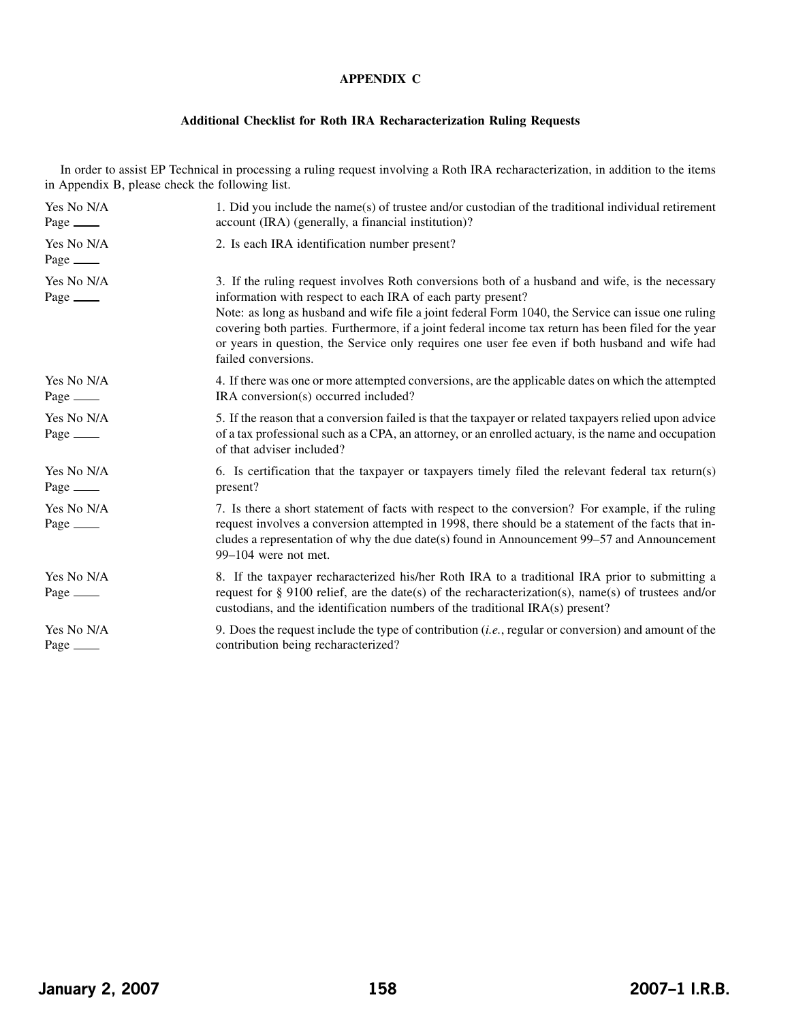## **APPENDIX C**

## **Additional Checklist for Roth IRA Recharacterization Ruling Requests**

In order to assist EP Technical in processing a ruling request involving a Roth IRA recharacterization, in addition to the items in Appendix B, please check the following list.

| Yes No N/A<br>Page $\qquad$    | 1. Did you include the name(s) of trustee and/or custodian of the traditional individual retirement<br>account (IRA) (generally, a financial institution)?                                                                                                                                                                                                                                                                                                                                            |
|--------------------------------|-------------------------------------------------------------------------------------------------------------------------------------------------------------------------------------------------------------------------------------------------------------------------------------------------------------------------------------------------------------------------------------------------------------------------------------------------------------------------------------------------------|
| Yes No N/A<br>Page $\_\_\_\_\$ | 2. Is each IRA identification number present?                                                                                                                                                                                                                                                                                                                                                                                                                                                         |
| Yes No N/A<br>Page _______     | 3. If the ruling request involves Roth conversions both of a husband and wife, is the necessary<br>information with respect to each IRA of each party present?<br>Note: as long as husband and wife file a joint federal Form 1040, the Service can issue one ruling<br>covering both parties. Furthermore, if a joint federal income tax return has been filed for the year<br>or years in question, the Service only requires one user fee even if both husband and wife had<br>failed conversions. |
| Yes No N/A<br>Page _______     | 4. If there was one or more attempted conversions, are the applicable dates on which the attempted<br>IRA conversion(s) occurred included?                                                                                                                                                                                                                                                                                                                                                            |
| Yes No N/A<br>Page $\_\_\_\_\$ | 5. If the reason that a conversion failed is that the taxpayer or related taxpayers relied upon advice<br>of a tax professional such as a CPA, an attorney, or an enrolled actuary, is the name and occupation<br>of that adviser included?                                                                                                                                                                                                                                                           |
| Yes No N/A<br>Page _______     | 6. Is certification that the taxpayer or taxpayers timely filed the relevant federal tax return(s)<br>present?                                                                                                                                                                                                                                                                                                                                                                                        |
| Yes No N/A<br>Page _______     | 7. Is there a short statement of facts with respect to the conversion? For example, if the ruling<br>request involves a conversion attempted in 1998, there should be a statement of the facts that in-<br>cludes a representation of why the due date(s) found in Announcement 99–57 and Announcement<br>99-104 were not met.                                                                                                                                                                        |
| Yes No N/A<br>Page $\_\_\_\_\$ | 8. If the taxpayer recharacterized his/her Roth IRA to a traditional IRA prior to submitting a<br>request for § 9100 relief, are the date(s) of the recharacterization(s), name(s) of trustees and/or<br>custodians, and the identification numbers of the traditional IRA(s) present?                                                                                                                                                                                                                |
| Yes No N/A<br>Page $\_\_\_\_\$ | 9. Does the request include the type of contribution <i>(i.e., regular or conversion)</i> and amount of the<br>contribution being recharacterized?                                                                                                                                                                                                                                                                                                                                                    |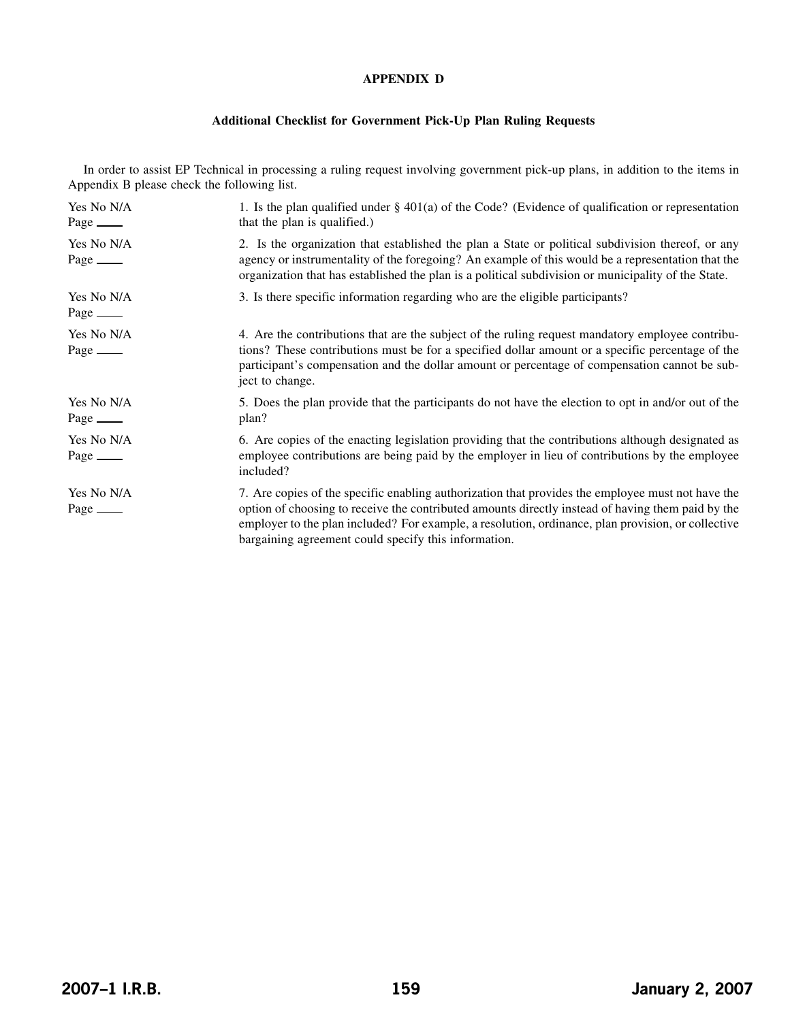## **APPENDIX D**

## **Additional Checklist for Government Pick-Up Plan Ruling Requests**

In order to assist EP Technical in processing a ruling request involving government pick-up plans, in addition to the items in Appendix B please check the following list.

| Yes No N/A<br>Page $\_\_\_\_\$ | 1. Is the plan qualified under $\S 401(a)$ of the Code? (Evidence of qualification or representation<br>that the plan is qualified.)                                                                                                                                                                                                                                 |
|--------------------------------|----------------------------------------------------------------------------------------------------------------------------------------------------------------------------------------------------------------------------------------------------------------------------------------------------------------------------------------------------------------------|
| Yes No N/A<br>Page $\_\_\_\_\$ | 2. Is the organization that established the plan a State or political subdivision thereof, or any<br>agency or instrumentality of the foregoing? An example of this would be a representation that the<br>organization that has established the plan is a political subdivision or municipality of the State.                                                        |
| Yes No N/A<br>Page $\_\_\_\_\$ | 3. Is there specific information regarding who are the eligible participants?                                                                                                                                                                                                                                                                                        |
| Yes No N/A                     | 4. Are the contributions that are the subject of the ruling request mandatory employee contribu-<br>tions? These contributions must be for a specified dollar amount or a specific percentage of the<br>participant's compensation and the dollar amount or percentage of compensation cannot be sub-<br>ject to change.                                             |
| Yes No N/A<br>Page $\_\_\_\_\$ | 5. Does the plan provide that the participants do not have the election to opt in and/or out of the<br>plan?                                                                                                                                                                                                                                                         |
| Yes No N/A<br>Page $\_\_\_\_\$ | 6. Are copies of the enacting legislation providing that the contributions although designated as<br>employee contributions are being paid by the employer in lieu of contributions by the employee<br>included?                                                                                                                                                     |
| Yes No N/A<br>Page $\qquad$    | 7. Are copies of the specific enabling authorization that provides the employee must not have the<br>option of choosing to receive the contributed amounts directly instead of having them paid by the<br>employer to the plan included? For example, a resolution, ordinance, plan provision, or collective<br>bargaining agreement could specify this information. |